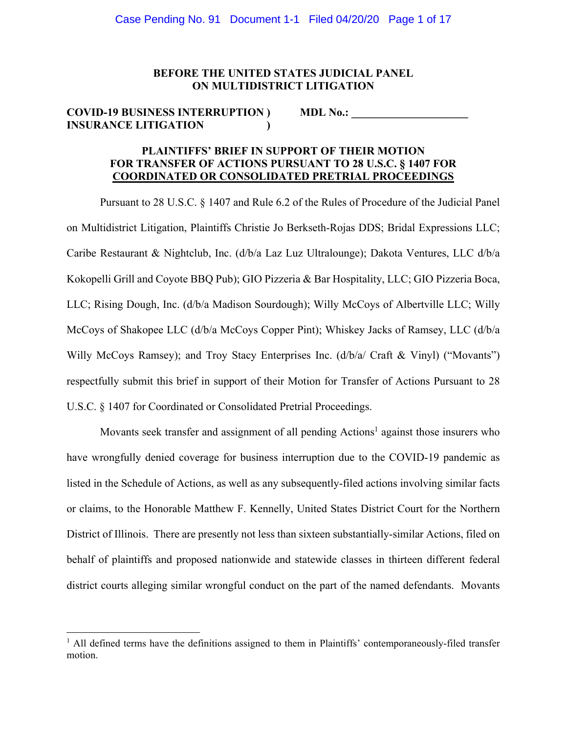### **BEFORE THE UNITED STATES JUDICIAL PANEL ON MULTIDISTRICT LITIGATION**

## **COVID-19 BUSINESS INTERRUPTION ) MDL No.: INSURANCE LITIGATION )**

# **PLAINTIFFS' BRIEF IN SUPPORT OF THEIR MOTION FOR TRANSFER OF ACTIONS PURSUANT TO 28 U.S.C. § 1407 FOR COORDINATED OR CONSOLIDATED PRETRIAL PROCEEDINGS**

Pursuant to 28 U.S.C. § 1407 and Rule 6.2 of the Rules of Procedure of the Judicial Panel on Multidistrict Litigation, Plaintiffs Christie Jo Berkseth-Rojas DDS; Bridal Expressions LLC; Caribe Restaurant & Nightclub, Inc. (d/b/a Laz Luz Ultralounge); Dakota Ventures, LLC d/b/a Kokopelli Grill and Coyote BBQ Pub); GIO Pizzeria & Bar Hospitality, LLC; GIO Pizzeria Boca, LLC; Rising Dough, Inc. (d/b/a Madison Sourdough); Willy McCoys of Albertville LLC; Willy McCoys of Shakopee LLC (d/b/a McCoys Copper Pint); Whiskey Jacks of Ramsey, LLC (d/b/a Willy McCoys Ramsey); and Troy Stacy Enterprises Inc. (d/b/a/ Craft & Vinyl) ("Movants") respectfully submit this brief in support of their Motion for Transfer of Actions Pursuant to 28 U.S.C. § 1407 for Coordinated or Consolidated Pretrial Proceedings.

Movants seek transfer and assignment of all pending Actions<sup>1</sup> against those insurers who have wrongfully denied coverage for business interruption due to the COVID-19 pandemic as listed in the Schedule of Actions, as well as any subsequently-filed actions involving similar facts or claims, to the Honorable Matthew F. Kennelly, United States District Court for the Northern District of Illinois. There are presently not less than sixteen substantially-similar Actions, filed on behalf of plaintiffs and proposed nationwide and statewide classes in thirteen different federal district courts alleging similar wrongful conduct on the part of the named defendants. Movants

<sup>&</sup>lt;sup>1</sup> All defined terms have the definitions assigned to them in Plaintiffs' contemporaneously-filed transfer motion.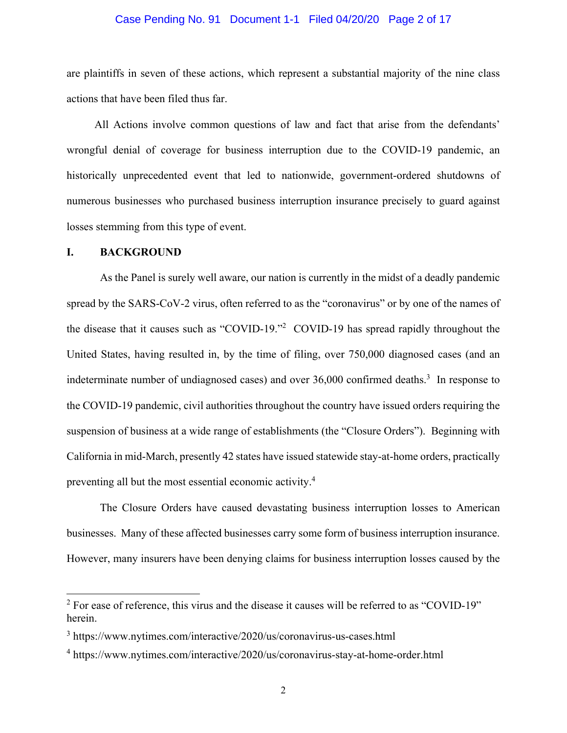#### Case Pending No. 91 Document 1-1 Filed 04/20/20 Page 2 of 17

are plaintiffs in seven of these actions, which represent a substantial majority of the nine class actions that have been filed thus far.

All Actions involve common questions of law and fact that arise from the defendants' wrongful denial of coverage for business interruption due to the COVID-19 pandemic, an historically unprecedented event that led to nationwide, government-ordered shutdowns of numerous businesses who purchased business interruption insurance precisely to guard against losses stemming from this type of event.

## **I. BACKGROUND**

As the Panel is surely well aware, our nation is currently in the midst of a deadly pandemic spread by the SARS-CoV-2 virus, often referred to as the "coronavirus" or by one of the names of the disease that it causes such as "COVID-19."2 COVID-19 has spread rapidly throughout the United States, having resulted in, by the time of filing, over 750,000 diagnosed cases (and an indeterminate number of undiagnosed cases) and over  $36,000$  confirmed deaths.<sup>3</sup> In response to the COVID-19 pandemic, civil authorities throughout the country have issued orders requiring the suspension of business at a wide range of establishments (the "Closure Orders"). Beginning with California in mid-March, presently 42 states have issued statewide stay-at-home orders, practically preventing all but the most essential economic activity.4

The Closure Orders have caused devastating business interruption losses to American businesses. Many of these affected businesses carry some form of business interruption insurance. However, many insurers have been denying claims for business interruption losses caused by the

 $2^2$  For ease of reference, this virus and the disease it causes will be referred to as "COVID-19" herein.

<sup>3</sup> https://www.nytimes.com/interactive/2020/us/coronavirus-us-cases.html

<sup>4</sup> https://www.nytimes.com/interactive/2020/us/coronavirus-stay-at-home-order.html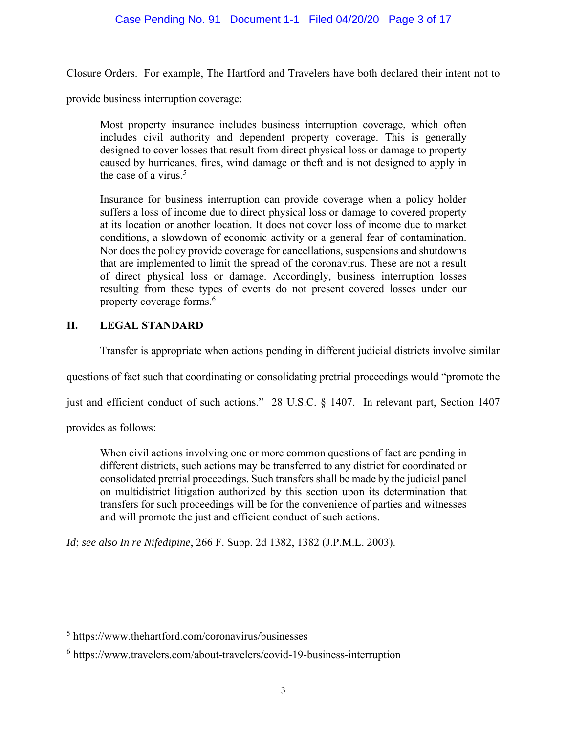# Case Pending No. 91 Document 1-1 Filed 04/20/20 Page 3 of 17

Closure Orders. For example, The Hartford and Travelers have both declared their intent not to

provide business interruption coverage:

Most property insurance includes business interruption coverage, which often includes civil authority and dependent property coverage. This is generally designed to cover losses that result from direct physical loss or damage to property caused by hurricanes, fires, wind damage or theft and is not designed to apply in the case of a virus.<sup>5</sup>

Insurance for business interruption can provide coverage when a policy holder suffers a loss of income due to direct physical loss or damage to covered property at its location or another location. It does not cover loss of income due to market conditions, a slowdown of economic activity or a general fear of contamination. Nor does the policy provide coverage for cancellations, suspensions and shutdowns that are implemented to limit the spread of the coronavirus. These are not a result of direct physical loss or damage. Accordingly, business interruption losses resulting from these types of events do not present covered losses under our property coverage forms.<sup>6</sup>

## **II. LEGAL STANDARD**

Transfer is appropriate when actions pending in different judicial districts involve similar

questions of fact such that coordinating or consolidating pretrial proceedings would "promote the

just and efficient conduct of such actions." 28 U.S.C. § 1407. In relevant part, Section 1407

provides as follows:

When civil actions involving one or more common questions of fact are pending in different districts, such actions may be transferred to any district for coordinated or consolidated pretrial proceedings. Such transfers shall be made by the judicial panel on multidistrict litigation authorized by this section upon its determination that transfers for such proceedings will be for the convenience of parties and witnesses and will promote the just and efficient conduct of such actions.

*Id*; *see also In re Nifedipine*, 266 F. Supp. 2d 1382, 1382 (J.P.M.L. 2003).

<sup>5</sup> https://www.thehartford.com/coronavirus/businesses

<sup>6</sup> https://www.travelers.com/about-travelers/covid-19-business-interruption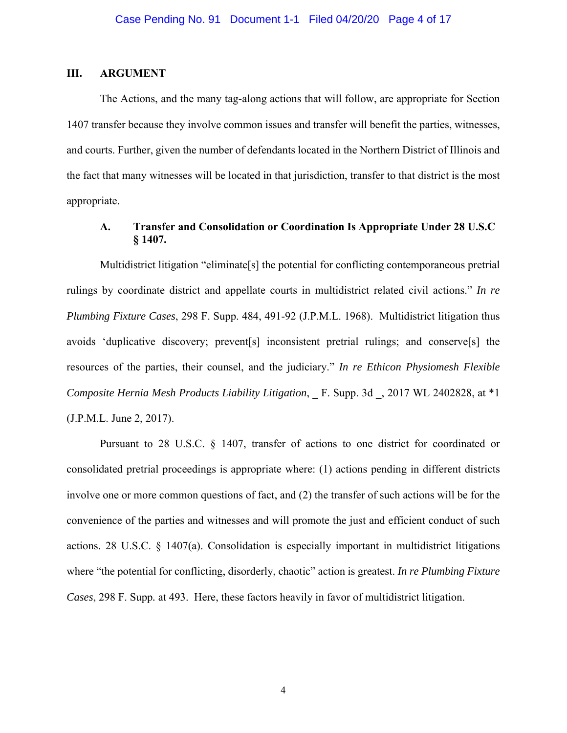## **III. ARGUMENT**

The Actions, and the many tag-along actions that will follow, are appropriate for Section 1407 transfer because they involve common issues and transfer will benefit the parties, witnesses, and courts. Further, given the number of defendants located in the Northern District of Illinois and the fact that many witnesses will be located in that jurisdiction, transfer to that district is the most appropriate.

# **A. Transfer and Consolidation or Coordination Is Appropriate Under 28 U.S.C § 1407.**

Multidistrict litigation "eliminate[s] the potential for conflicting contemporaneous pretrial rulings by coordinate district and appellate courts in multidistrict related civil actions." *In re Plumbing Fixture Cases*, 298 F. Supp. 484, 491-92 (J.P.M.L. 1968). Multidistrict litigation thus avoids 'duplicative discovery; prevent[s] inconsistent pretrial rulings; and conserve[s] the resources of the parties, their counsel, and the judiciary." *In re Ethicon Physiomesh Flexible Composite Hernia Mesh Products Liability Litigation*, F. Supp. 3d , 2017 WL 2402828, at \*1 (J.P.M.L. June 2, 2017).

Pursuant to 28 U.S.C. § 1407, transfer of actions to one district for coordinated or consolidated pretrial proceedings is appropriate where: (1) actions pending in different districts involve one or more common questions of fact, and (2) the transfer of such actions will be for the convenience of the parties and witnesses and will promote the just and efficient conduct of such actions. 28 U.S.C. § 1407(a). Consolidation is especially important in multidistrict litigations where "the potential for conflicting, disorderly, chaotic" action is greatest. *In re Plumbing Fixture Cases*, 298 F. Supp*.* at 493. Here, these factors heavily in favor of multidistrict litigation.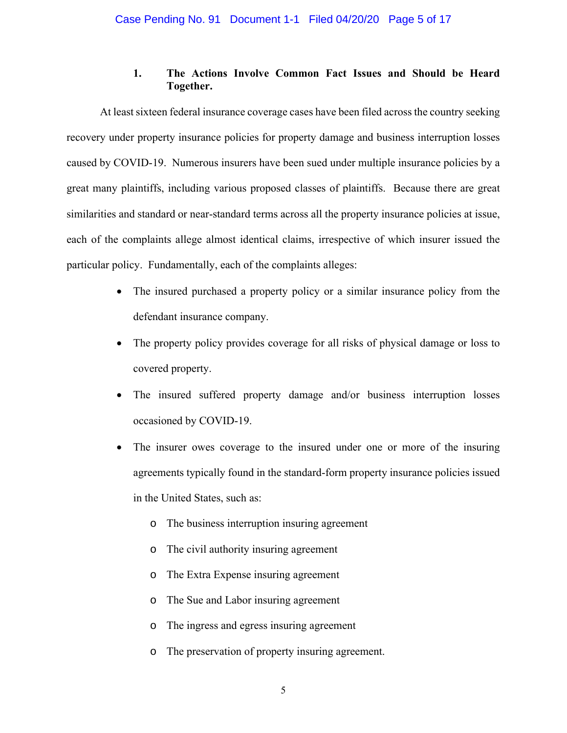# **1. The Actions Involve Common Fact Issues and Should be Heard Together.**

At least sixteen federal insurance coverage cases have been filed across the country seeking recovery under property insurance policies for property damage and business interruption losses caused by COVID-19. Numerous insurers have been sued under multiple insurance policies by a great many plaintiffs, including various proposed classes of plaintiffs. Because there are great similarities and standard or near-standard terms across all the property insurance policies at issue, each of the complaints allege almost identical claims, irrespective of which insurer issued the particular policy. Fundamentally, each of the complaints alleges:

- The insured purchased a property policy or a similar insurance policy from the defendant insurance company.
- The property policy provides coverage for all risks of physical damage or loss to covered property.
- The insured suffered property damage and/or business interruption losses occasioned by COVID-19.
- The insurer owes coverage to the insured under one or more of the insuring agreements typically found in the standard-form property insurance policies issued in the United States, such as:
	- o The business interruption insuring agreement
	- o The civil authority insuring agreement
	- o The Extra Expense insuring agreement
	- o The Sue and Labor insuring agreement
	- o The ingress and egress insuring agreement
	- o The preservation of property insuring agreement.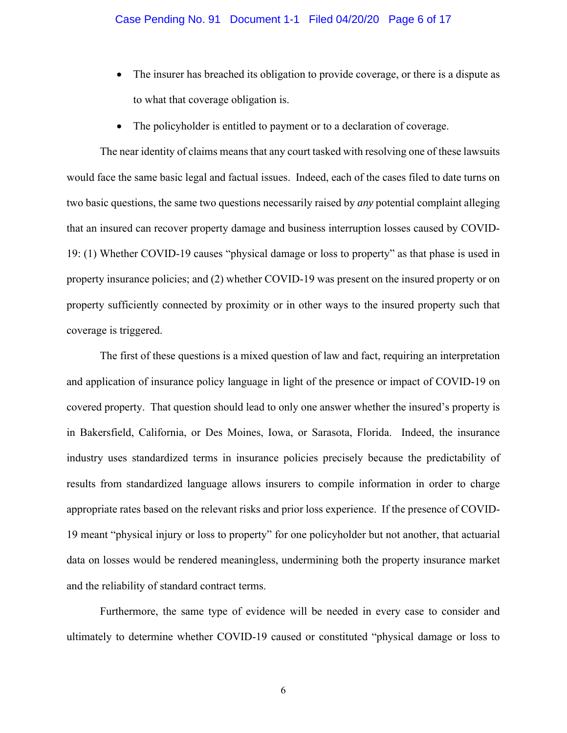- The insurer has breached its obligation to provide coverage, or there is a dispute as to what that coverage obligation is.
- The policyholder is entitled to payment or to a declaration of coverage.

The near identity of claims means that any court tasked with resolving one of these lawsuits would face the same basic legal and factual issues. Indeed, each of the cases filed to date turns on two basic questions, the same two questions necessarily raised by *any* potential complaint alleging that an insured can recover property damage and business interruption losses caused by COVID-19: (1) Whether COVID-19 causes "physical damage or loss to property" as that phase is used in property insurance policies; and (2) whether COVID-19 was present on the insured property or on property sufficiently connected by proximity or in other ways to the insured property such that coverage is triggered.

The first of these questions is a mixed question of law and fact, requiring an interpretation and application of insurance policy language in light of the presence or impact of COVID-19 on covered property. That question should lead to only one answer whether the insured's property is in Bakersfield, California, or Des Moines, Iowa, or Sarasota, Florida. Indeed, the insurance industry uses standardized terms in insurance policies precisely because the predictability of results from standardized language allows insurers to compile information in order to charge appropriate rates based on the relevant risks and prior loss experience. If the presence of COVID-19 meant "physical injury or loss to property" for one policyholder but not another, that actuarial data on losses would be rendered meaningless, undermining both the property insurance market and the reliability of standard contract terms.

Furthermore, the same type of evidence will be needed in every case to consider and ultimately to determine whether COVID-19 caused or constituted "physical damage or loss to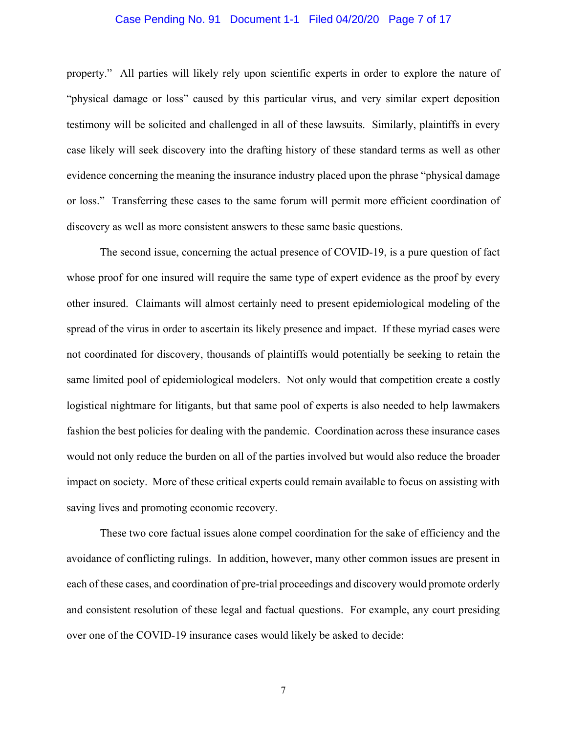#### Case Pending No. 91 Document 1-1 Filed 04/20/20 Page 7 of 17

property." All parties will likely rely upon scientific experts in order to explore the nature of "physical damage or loss" caused by this particular virus, and very similar expert deposition testimony will be solicited and challenged in all of these lawsuits. Similarly, plaintiffs in every case likely will seek discovery into the drafting history of these standard terms as well as other evidence concerning the meaning the insurance industry placed upon the phrase "physical damage or loss." Transferring these cases to the same forum will permit more efficient coordination of discovery as well as more consistent answers to these same basic questions.

The second issue, concerning the actual presence of COVID-19, is a pure question of fact whose proof for one insured will require the same type of expert evidence as the proof by every other insured. Claimants will almost certainly need to present epidemiological modeling of the spread of the virus in order to ascertain its likely presence and impact. If these myriad cases were not coordinated for discovery, thousands of plaintiffs would potentially be seeking to retain the same limited pool of epidemiological modelers. Not only would that competition create a costly logistical nightmare for litigants, but that same pool of experts is also needed to help lawmakers fashion the best policies for dealing with the pandemic. Coordination across these insurance cases would not only reduce the burden on all of the parties involved but would also reduce the broader impact on society. More of these critical experts could remain available to focus on assisting with saving lives and promoting economic recovery.

These two core factual issues alone compel coordination for the sake of efficiency and the avoidance of conflicting rulings. In addition, however, many other common issues are present in each of these cases, and coordination of pre-trial proceedings and discovery would promote orderly and consistent resolution of these legal and factual questions. For example, any court presiding over one of the COVID-19 insurance cases would likely be asked to decide: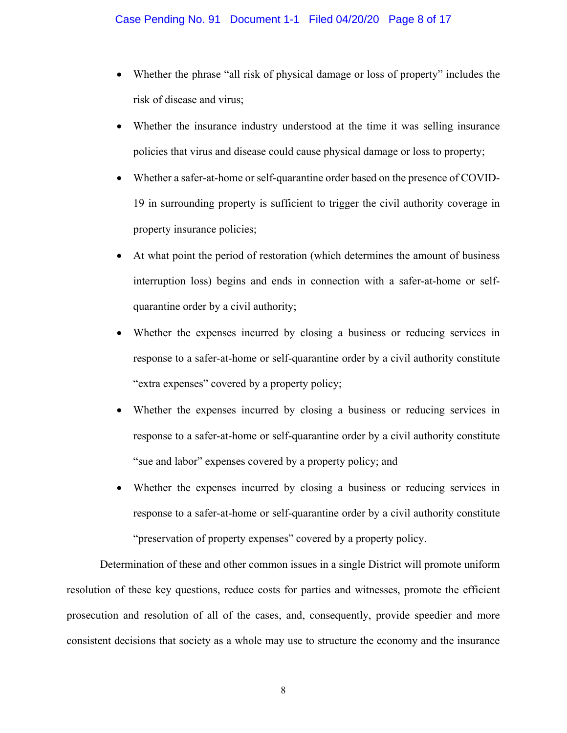- Whether the phrase "all risk of physical damage or loss of property" includes the risk of disease and virus;
- Whether the insurance industry understood at the time it was selling insurance policies that virus and disease could cause physical damage or loss to property;
- Whether a safer-at-home or self-quarantine order based on the presence of COVID-19 in surrounding property is sufficient to trigger the civil authority coverage in property insurance policies;
- At what point the period of restoration (which determines the amount of business interruption loss) begins and ends in connection with a safer-at-home or selfquarantine order by a civil authority;
- Whether the expenses incurred by closing a business or reducing services in response to a safer-at-home or self-quarantine order by a civil authority constitute "extra expenses" covered by a property policy;
- Whether the expenses incurred by closing a business or reducing services in response to a safer-at-home or self-quarantine order by a civil authority constitute "sue and labor" expenses covered by a property policy; and
- Whether the expenses incurred by closing a business or reducing services in response to a safer-at-home or self-quarantine order by a civil authority constitute "preservation of property expenses" covered by a property policy.

Determination of these and other common issues in a single District will promote uniform resolution of these key questions, reduce costs for parties and witnesses, promote the efficient prosecution and resolution of all of the cases, and, consequently, provide speedier and more consistent decisions that society as a whole may use to structure the economy and the insurance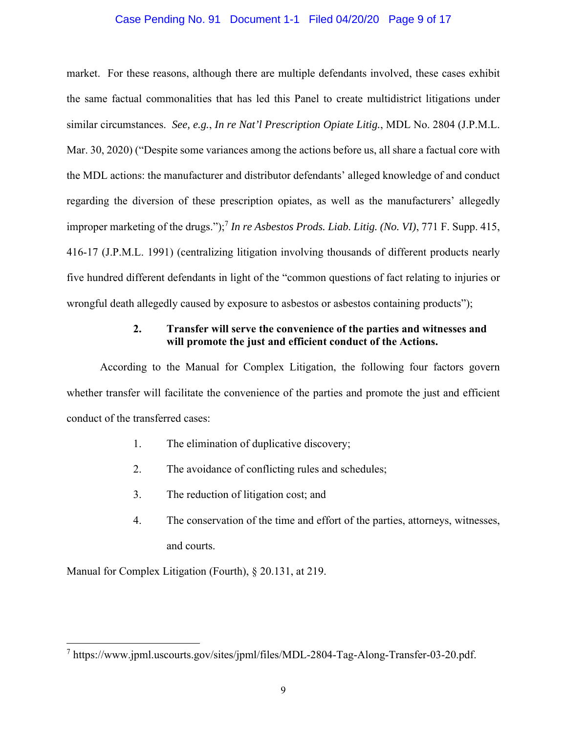### Case Pending No. 91 Document 1-1 Filed 04/20/20 Page 9 of 17

market. For these reasons, although there are multiple defendants involved, these cases exhibit the same factual commonalities that has led this Panel to create multidistrict litigations under similar circumstances. *See, e.g.*, *In re Nat'l Prescription Opiate Litig.*, MDL No. 2804 (J.P.M.L. Mar. 30, 2020) ("Despite some variances among the actions before us, all share a factual core with the MDL actions: the manufacturer and distributor defendants' alleged knowledge of and conduct regarding the diversion of these prescription opiates, as well as the manufacturers' allegedly improper marketing of the drugs.");<sup>7</sup> *In re Asbestos Prods. Liab. Litig. (No. VI)*, 771 F. Supp. 415, 416-17 (J.P.M.L. 1991) (centralizing litigation involving thousands of different products nearly five hundred different defendants in light of the "common questions of fact relating to injuries or wrongful death allegedly caused by exposure to asbestos or asbestos containing products");

## **2. Transfer will serve the convenience of the parties and witnesses and will promote the just and efficient conduct of the Actions.**

According to the Manual for Complex Litigation, the following four factors govern whether transfer will facilitate the convenience of the parties and promote the just and efficient conduct of the transferred cases:

- 1. The elimination of duplicative discovery;
- 2. The avoidance of conflicting rules and schedules;
- 3. The reduction of litigation cost; and
- 4. The conservation of the time and effort of the parties, attorneys, witnesses, and courts.

Manual for Complex Litigation (Fourth), § 20.131, at 219.

<sup>7</sup> https://www.jpml.uscourts.gov/sites/jpml/files/MDL-2804-Tag-Along-Transfer-03-20.pdf.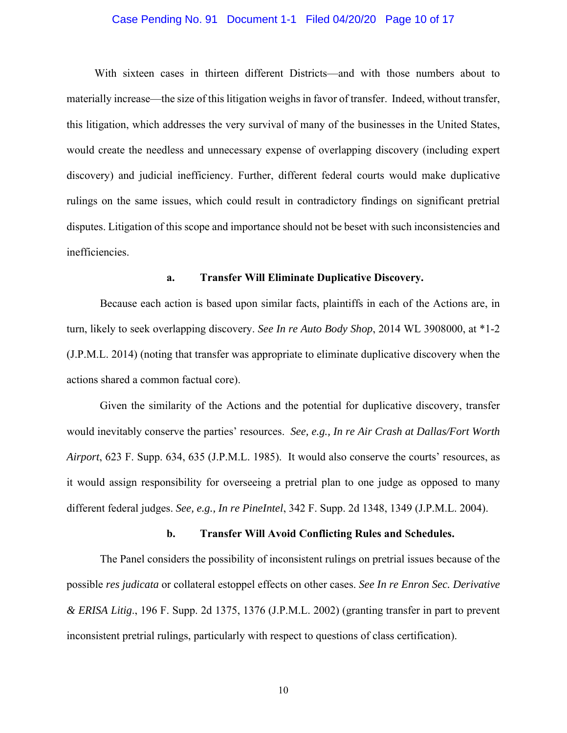#### Case Pending No. 91 Document 1-1 Filed 04/20/20 Page 10 of 17

With sixteen cases in thirteen different Districts—and with those numbers about to materially increase—the size of this litigation weighs in favor of transfer. Indeed, without transfer, this litigation, which addresses the very survival of many of the businesses in the United States, would create the needless and unnecessary expense of overlapping discovery (including expert discovery) and judicial inefficiency. Further, different federal courts would make duplicative rulings on the same issues, which could result in contradictory findings on significant pretrial disputes. Litigation of this scope and importance should not be beset with such inconsistencies and inefficiencies.

#### **a. Transfer Will Eliminate Duplicative Discovery.**

Because each action is based upon similar facts, plaintiffs in each of the Actions are, in turn, likely to seek overlapping discovery. *See In re Auto Body Shop*, 2014 WL 3908000, at \*1-2 (J.P.M.L. 2014) (noting that transfer was appropriate to eliminate duplicative discovery when the actions shared a common factual core).

Given the similarity of the Actions and the potential for duplicative discovery, transfer would inevitably conserve the parties' resources. *See, e.g., In re Air Crash at Dallas/Fort Worth Airport*, 623 F. Supp. 634, 635 (J.P.M.L. 1985). It would also conserve the courts' resources, as it would assign responsibility for overseeing a pretrial plan to one judge as opposed to many different federal judges. *See, e.g., In re PineIntel*, 342 F. Supp. 2d 1348, 1349 (J.P.M.L. 2004).

#### **b. Transfer Will Avoid Conflicting Rules and Schedules.**

The Panel considers the possibility of inconsistent rulings on pretrial issues because of the possible *res judicata* or collateral estoppel effects on other cases. *See In re Enron Sec. Derivative & ERISA Litig*., 196 F. Supp. 2d 1375, 1376 (J.P.M.L. 2002) (granting transfer in part to prevent inconsistent pretrial rulings, particularly with respect to questions of class certification).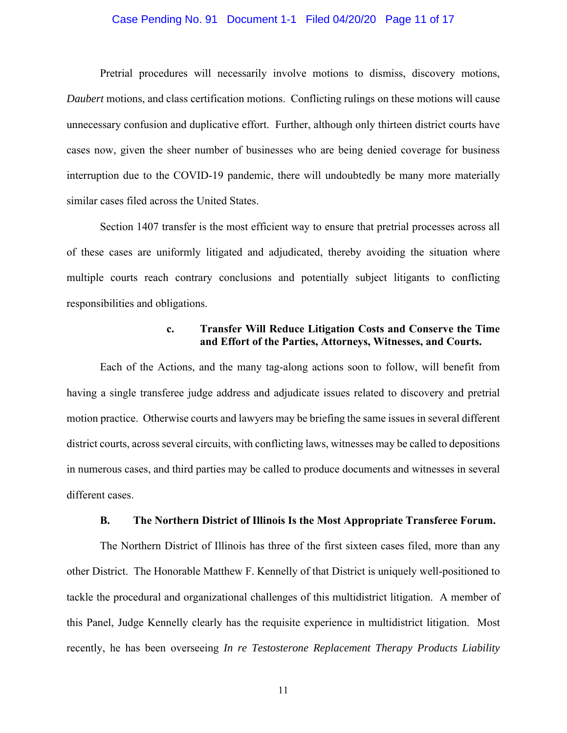#### Case Pending No. 91 Document 1-1 Filed 04/20/20 Page 11 of 17

Pretrial procedures will necessarily involve motions to dismiss, discovery motions, *Daubert* motions, and class certification motions. Conflicting rulings on these motions will cause unnecessary confusion and duplicative effort. Further, although only thirteen district courts have cases now, given the sheer number of businesses who are being denied coverage for business interruption due to the COVID-19 pandemic, there will undoubtedly be many more materially similar cases filed across the United States.

Section 1407 transfer is the most efficient way to ensure that pretrial processes across all of these cases are uniformly litigated and adjudicated, thereby avoiding the situation where multiple courts reach contrary conclusions and potentially subject litigants to conflicting responsibilities and obligations.

## **c. Transfer Will Reduce Litigation Costs and Conserve the Time and Effort of the Parties, Attorneys, Witnesses, and Courts.**

Each of the Actions, and the many tag-along actions soon to follow, will benefit from having a single transferee judge address and adjudicate issues related to discovery and pretrial motion practice. Otherwise courts and lawyers may be briefing the same issues in several different district courts, across several circuits, with conflicting laws, witnesses may be called to depositions in numerous cases, and third parties may be called to produce documents and witnesses in several different cases.

#### **B. The Northern District of Illinois Is the Most Appropriate Transferee Forum.**

The Northern District of Illinois has three of the first sixteen cases filed, more than any other District. The Honorable Matthew F. Kennelly of that District is uniquely well-positioned to tackle the procedural and organizational challenges of this multidistrict litigation. A member of this Panel, Judge Kennelly clearly has the requisite experience in multidistrict litigation. Most recently, he has been overseeing *In re Testosterone Replacement Therapy Products Liability*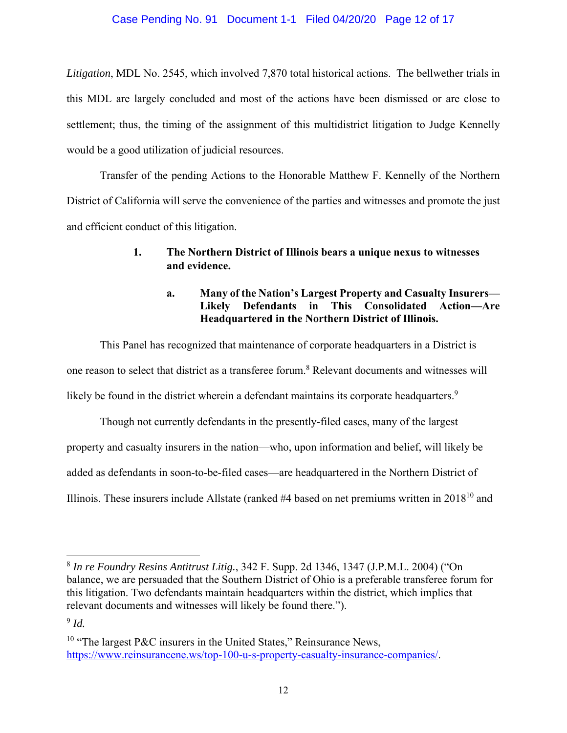## Case Pending No. 91 Document 1-1 Filed 04/20/20 Page 12 of 17

*Litigation*, MDL No. 2545, which involved 7,870 total historical actions. The bellwether trials in this MDL are largely concluded and most of the actions have been dismissed or are close to settlement; thus, the timing of the assignment of this multidistrict litigation to Judge Kennelly would be a good utilization of judicial resources.

Transfer of the pending Actions to the Honorable Matthew F. Kennelly of the Northern District of California will serve the convenience of the parties and witnesses and promote the just and efficient conduct of this litigation.

# **1. The Northern District of Illinois bears a unique nexus to witnesses and evidence.**

# **a. Many of the Nation's Largest Property and Casualty Insurers— Likely Defendants in This Consolidated Action—Are Headquartered in the Northern District of Illinois.**

This Panel has recognized that maintenance of corporate headquarters in a District is one reason to select that district as a transferee forum.<sup>8</sup> Relevant documents and witnesses will likely be found in the district wherein a defendant maintains its corporate headquarters.<sup>9</sup>

Though not currently defendants in the presently-filed cases, many of the largest property and casualty insurers in the nation—who, upon information and belief, will likely be added as defendants in soon-to-be-filed cases—are headquartered in the Northern District of Illinois. These insurers include Allstate (ranked  $#4$  based on net premiums written in  $2018^{10}$  and

<sup>8</sup> *In re Foundry Resins Antitrust Litig.*, 342 F. Supp. 2d 1346, 1347 (J.P.M.L. 2004) ("On balance, we are persuaded that the Southern District of Ohio is a preferable transferee forum for this litigation. Two defendants maintain headquarters within the district, which implies that relevant documents and witnesses will likely be found there.").

<sup>9</sup> *Id.*

<sup>&</sup>lt;sup>10</sup> "The largest P&C insurers in the United States," Reinsurance News, https://www.reinsurancene.ws/top-100-u-s-property-casualty-insurance-companies/.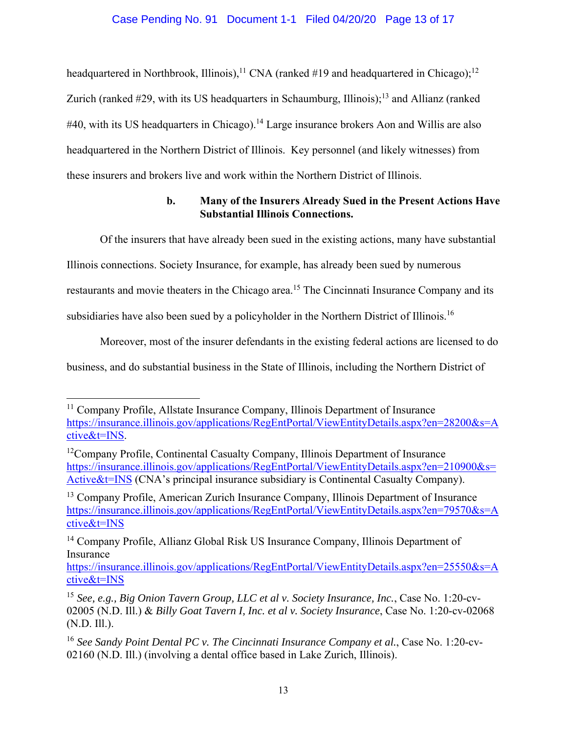# Case Pending No. 91 Document 1-1 Filed 04/20/20 Page 13 of 17

headquartered in Northbrook, Illinois),<sup>11</sup> CNA (ranked #19 and headquartered in Chicago);<sup>12</sup> Zurich (ranked  $#29$ , with its US headquarters in Schaumburg, Illinois);<sup>13</sup> and Allianz (ranked  $\#40$ , with its US headquarters in Chicago).<sup>14</sup> Large insurance brokers Aon and Willis are also headquartered in the Northern District of Illinois. Key personnel (and likely witnesses) from these insurers and brokers live and work within the Northern District of Illinois.

# **b. Many of the Insurers Already Sued in the Present Actions Have Substantial Illinois Connections.**

Of the insurers that have already been sued in the existing actions, many have substantial

Illinois connections. Society Insurance, for example, has already been sued by numerous

restaurants and movie theaters in the Chicago area.<sup>15</sup> The Cincinnati Insurance Company and its

subsidiaries have also been sued by a policyholder in the Northern District of Illinois.<sup>16</sup>

Moreover, most of the insurer defendants in the existing federal actions are licensed to do

business, and do substantial business in the State of Illinois, including the Northern District of

<sup>&</sup>lt;sup>11</sup> Company Profile, Allstate Insurance Company, Illinois Department of Insurance https://insurance.illinois.gov/applications/RegEntPortal/ViewEntityDetails.aspx?en=28200&s=A ctive&t=INS.

<sup>&</sup>lt;sup>12</sup>Company Profile, Continental Casualty Company, Illinois Department of Insurance https://insurance.illinois.gov/applications/RegEntPortal/ViewEntityDetails.aspx?en=210900&s= Active&t=INS (CNA's principal insurance subsidiary is Continental Casualty Company).

<sup>&</sup>lt;sup>13</sup> Company Profile, American Zurich Insurance Company, Illinois Department of Insurance https://insurance.illinois.gov/applications/RegEntPortal/ViewEntityDetails.aspx?en=79570&s=A ctive&t=INS

<sup>14</sup> Company Profile, Allianz Global Risk US Insurance Company, Illinois Department of Insurance

https://insurance.illinois.gov/applications/RegEntPortal/ViewEntityDetails.aspx?en=25550&s=A ctive&t=INS

<sup>15</sup> *See, e.g., Big Onion Tavern Group, LLC et al v. Society Insurance, Inc.*, Case No. 1:20-cv-02005 (N.D. Ill.) & *Billy Goat Tavern I, Inc. et al v. Society Insurance*, Case No. 1:20-cv-02068 (N.D. Ill.).

<sup>16</sup> *See Sandy Point Dental PC v. The Cincinnati Insurance Company et al.*, Case No. 1:20-cv-02160 (N.D. Ill.) (involving a dental office based in Lake Zurich, Illinois).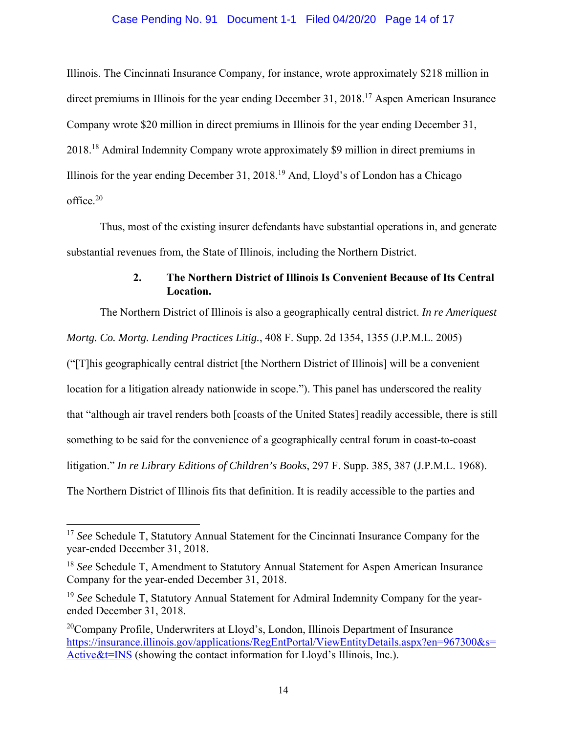### Case Pending No. 91 Document 1-1 Filed 04/20/20 Page 14 of 17

Illinois. The Cincinnati Insurance Company, for instance, wrote approximately \$218 million in direct premiums in Illinois for the year ending December 31, 2018.<sup>17</sup> Aspen American Insurance Company wrote \$20 million in direct premiums in Illinois for the year ending December 31, 2018.18 Admiral Indemnity Company wrote approximately \$9 million in direct premiums in Illinois for the year ending December 31, 2018.19 And, Lloyd's of London has a Chicago office.20

Thus, most of the existing insurer defendants have substantial operations in, and generate substantial revenues from, the State of Illinois, including the Northern District.

# **2. The Northern District of Illinois Is Convenient Because of Its Central Location.**

The Northern District of Illinois is also a geographically central district. *In re Ameriquest Mortg. Co. Mortg. Lending Practices Litig.*, 408 F. Supp. 2d 1354, 1355 (J.P.M.L. 2005) ("[T]his geographically central district [the Northern District of Illinois] will be a convenient location for a litigation already nationwide in scope."). This panel has underscored the reality that "although air travel renders both [coasts of the United States] readily accessible, there is still something to be said for the convenience of a geographically central forum in coast-to-coast litigation." *In re Library Editions of Children's Books*, 297 F. Supp. 385, 387 (J.P.M.L. 1968).

The Northern District of Illinois fits that definition. It is readily accessible to the parties and

<sup>&</sup>lt;sup>17</sup> *See* Schedule T, Statutory Annual Statement for the Cincinnati Insurance Company for the year-ended December 31, 2018.

<sup>18</sup> *See* Schedule T, Amendment to Statutory Annual Statement for Aspen American Insurance Company for the year-ended December 31, 2018.

<sup>19</sup> *See* Schedule T, Statutory Annual Statement for Admiral Indemnity Company for the yearended December 31, 2018.

<sup>&</sup>lt;sup>20</sup>Company Profile, Underwriters at Lloyd's, London, Illinois Department of Insurance https://insurance.illinois.gov/applications/RegEntPortal/ViewEntityDetails.aspx?en=967300&s= Active&t=INS (showing the contact information for Lloyd's Illinois, Inc.).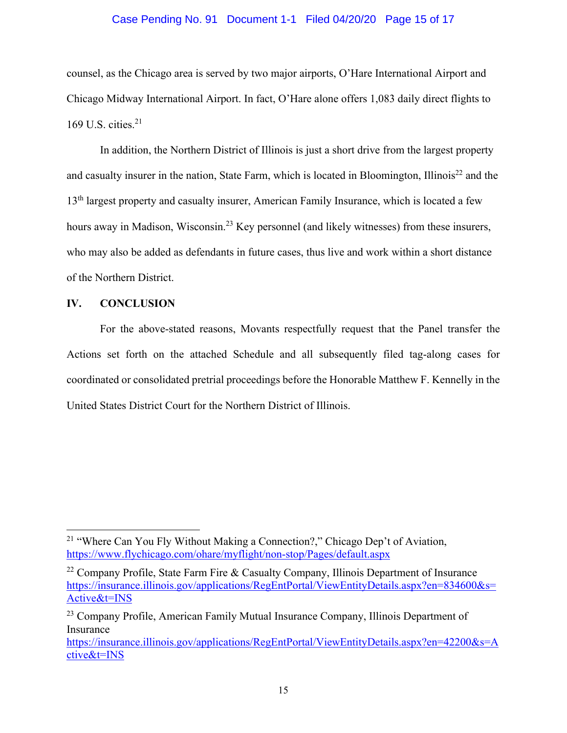### Case Pending No. 91 Document 1-1 Filed 04/20/20 Page 15 of 17

counsel, as the Chicago area is served by two major airports, O'Hare International Airport and Chicago Midway International Airport. In fact, O'Hare alone offers 1,083 daily direct flights to 169 U.S. cities. $21$ 

In addition, the Northern District of Illinois is just a short drive from the largest property and casualty insurer in the nation, State Farm, which is located in Bloomington, Illinois<sup>22</sup> and the 13<sup>th</sup> largest property and casualty insurer, American Family Insurance, which is located a few hours away in Madison, Wisconsin.<sup>23</sup> Key personnel (and likely witnesses) from these insurers, who may also be added as defendants in future cases, thus live and work within a short distance of the Northern District.

### **IV. CONCLUSION**

For the above-stated reasons, Movants respectfully request that the Panel transfer the Actions set forth on the attached Schedule and all subsequently filed tag-along cases for coordinated or consolidated pretrial proceedings before the Honorable Matthew F. Kennelly in the United States District Court for the Northern District of Illinois.

<sup>&</sup>lt;sup>21</sup> "Where Can You Fly Without Making a Connection?," Chicago Dep't of Aviation, https://www.flychicago.com/ohare/myflight/non-stop/Pages/default.aspx

<sup>&</sup>lt;sup>22</sup> Company Profile, State Farm Fire & Casualty Company, Illinois Department of Insurance https://insurance.illinois.gov/applications/RegEntPortal/ViewEntityDetails.aspx?en=834600&s= Active&t=INS

<sup>&</sup>lt;sup>23</sup> Company Profile, American Family Mutual Insurance Company, Illinois Department of Insurance

https://insurance.illinois.gov/applications/RegEntPortal/ViewEntityDetails.aspx?en=42200&s=A ctive&t=INS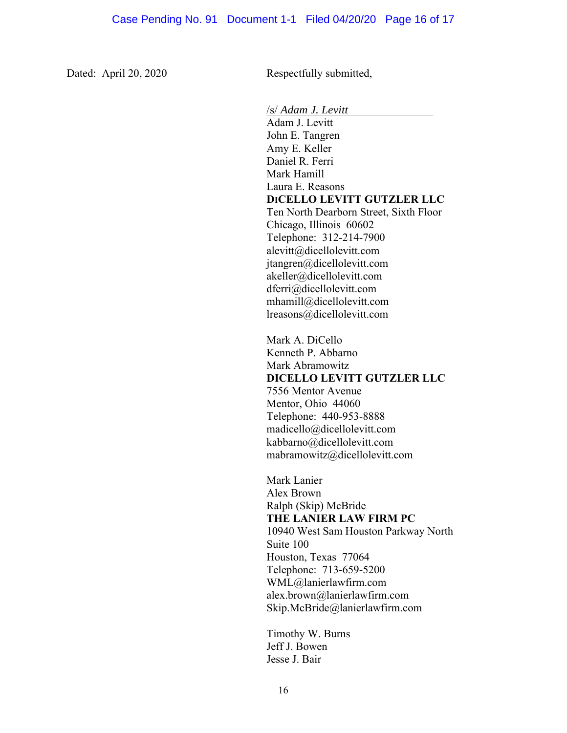Dated: April 20, 2020 Respectfully submitted,

/s/ *Adam J. Levitt* 

Adam J. Levitt John E. Tangren Amy E. Keller Daniel R. Ferri Mark Hamill Laura E. Reasons **DICELLO LEVITT GUTZLER LLC**  Ten North Dearborn Street, Sixth Floor Chicago, Illinois 60602 Telephone: 312-214-7900 alevitt@dicellolevitt.com jtangren@dicellolevitt.com akeller@dicellolevitt.com dferri@dicellolevitt.com mhamill@dicellolevitt.com lreasons@dicellolevitt.com Mark A. DiCello Kenneth P. Abbarno Mark Abramowitz **DICELLO LEVITT GUTZLER LLC**  7556 Mentor Avenue Mentor, Ohio 44060 Telephone: 440-953-8888 madicello@dicellolevitt.com kabbarno@dicellolevitt.com mabramowitz@dicellolevitt.com Mark Lanier Alex Brown Ralph (Skip) McBride **THE LANIER LAW FIRM PC**  10940 West Sam Houston Parkway North Suite 100 Houston, Texas 77064 Telephone: 713-659-5200 WML@lanierlawfirm.com alex.brown@lanierlawfirm.com

Timothy W. Burns Jeff J. Bowen Jesse J. Bair

Skip.McBride@lanierlawfirm.com